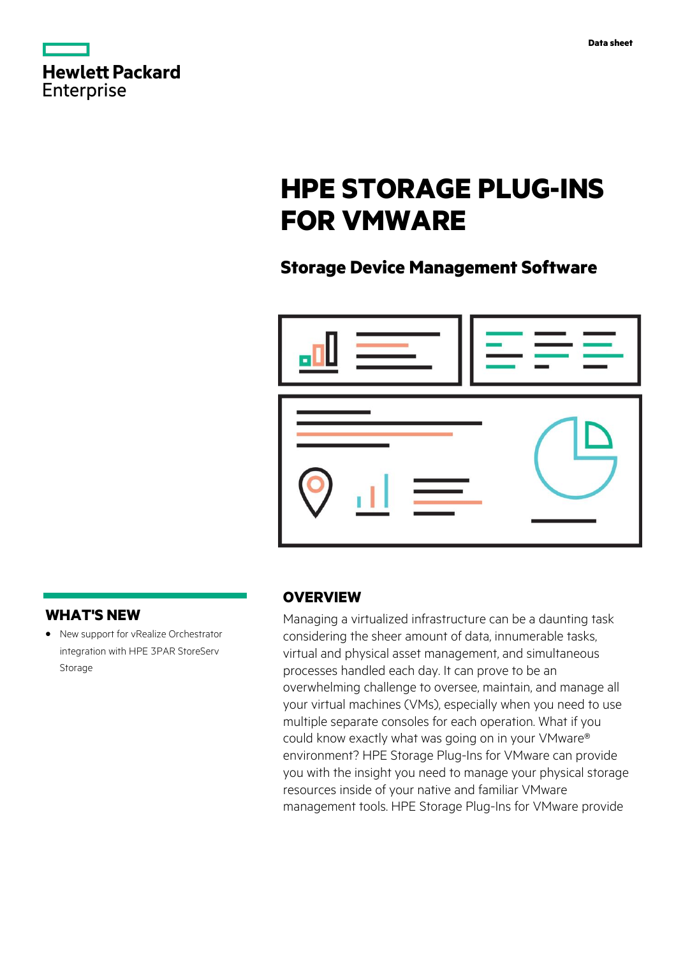|                   | <b>Hewlett Packard</b> |
|-------------------|------------------------|
| <b>Enterprise</b> |                        |

# **HPE STORAGE PLUG-INS FOR VMWARE**

# **Storage Device Management Software**



## **WHAT'S NEW**

**·** New support for vRealize Orchestrator integration with HPE 3PAR StoreServ Storage

## **OVERVIEW**

Managing a virtualized infrastructure can be a daunting task considering the sheer amount of data, innumerable tasks, virtual and physical asset management, and simultaneous processes handled each day. It can prove to be an overwhelming challenge to oversee, maintain, and manage all your virtual machines (VMs), especially when you need to use multiple separate consoles for each operation. What if you could know exactly what was going on in your VMware® environment? HPE Storage Plug-Ins for VMware can provide you with the insight you need to manage your physical storage resources inside of your native and familiar VMware management tools. HPE Storage Plug-Ins for VMware provide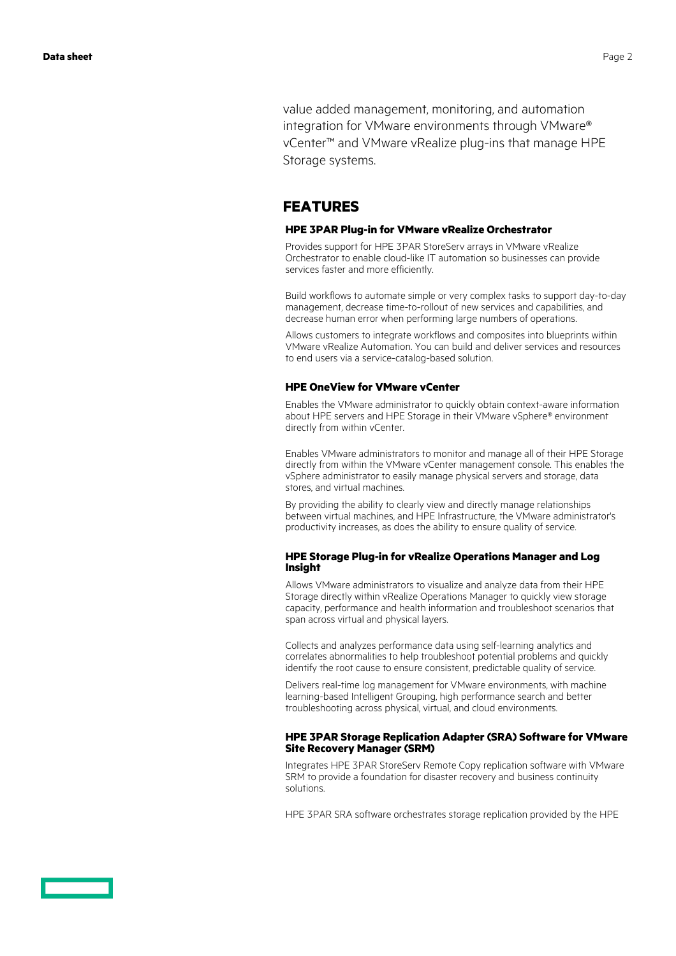value added management, monitoring, and automation integration for VMware environments through VMware® vCenter™ and VMware vRealize plug-ins that manage HPE Storage systems.

## **FEATURES**

#### **HPE 3PAR Plug-in for VMware vRealize Orchestrator**

Provides support for HPE 3PAR StoreServ arrays in VMware vRealize Orchestrator to enable cloud-like IT automation so businesses can provide services faster and more efficiently.

Build workflows to automate simple or very complex tasks to support day-to-day management, decrease time-to-rollout of new services and capabilities, and decrease human error when performing large numbers of operations.

Allows customers to integrate workflows and composites into blueprints within VMware vRealize Automation. You can build and deliver services and resources to end users via a service-catalog-based solution.

#### **HPE OneView for VMware vCenter**

Enables the VMware administrator to quickly obtain context-aware information about HPE servers and HPE Storage in their VMware vSphere® environment directly from within vCenter.

Enables VMware administrators to monitor and manage all of their HPE Storage directly from within the VMware vCenter management console. This enables the vSphere administrator to easily manage physical servers and storage, data stores, and virtual machines.

By providing the ability to clearly view and directly manage relationships between virtual machines, and HPE Infrastructure, the VMware administrator's productivity increases, as does the ability to ensure quality of service.

#### **HPE Storage Plug-in for vRealize Operations Manager and Log Insight**

Allows VMware administrators to visualize and analyze data from their HPE Storage directly within vRealize Operations Manager to quickly view storage capacity, performance and health information and troubleshoot scenarios that span across virtual and physical layers.

Collects and analyzes performance data using self-learning analytics and correlates abnormalities to help troubleshoot potential problems and quickly identify the root cause to ensure consistent, predictable quality of service.

Delivers real-time log management for VMware environments, with machine learning-based Intelligent Grouping, high performance search and better troubleshooting across physical, virtual, and cloud environments.

#### **HPE 3PAR Storage Replication Adapter (SRA) Software for VMware Site Recovery Manager (SRM)**

Integrates HPE 3PAR StoreServ Remote Copy replication software with VMware SRM to provide a foundation for disaster recovery and business continuity solutions.

HPE 3PAR SRA software orchestrates storage replication provided by the HPE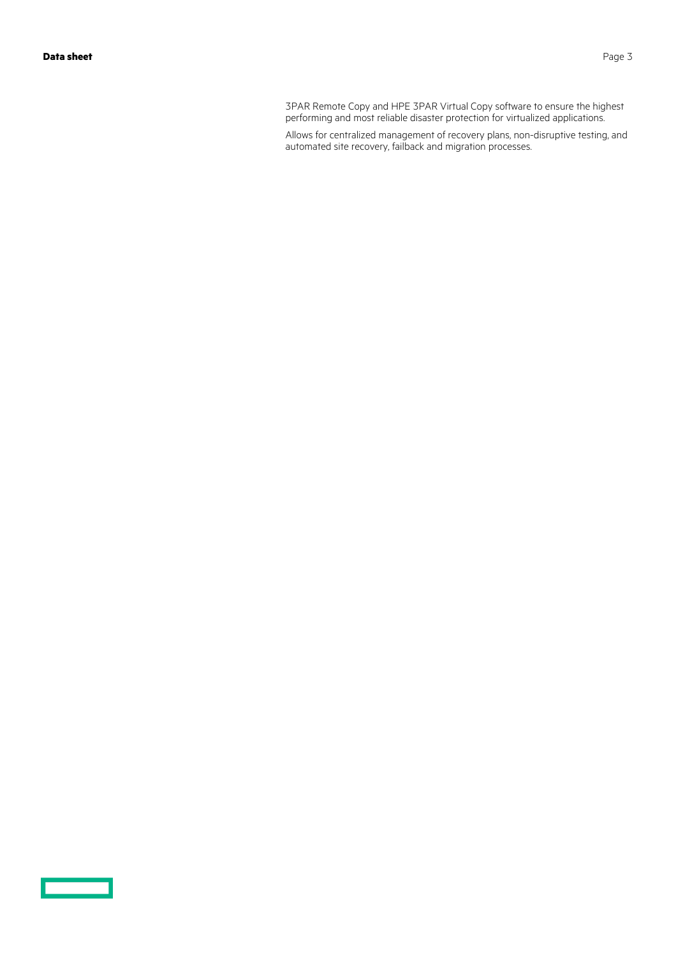<u>estas de la p</u>

3PAR Remote Copy and HPE 3PAR Virtual Copy software to ensure the highest performing and most reliable disaster protection for virtualized applications.

Allows for centralized management of recovery plans, non-disruptive testing, and automated site recovery, failback and migration processes.